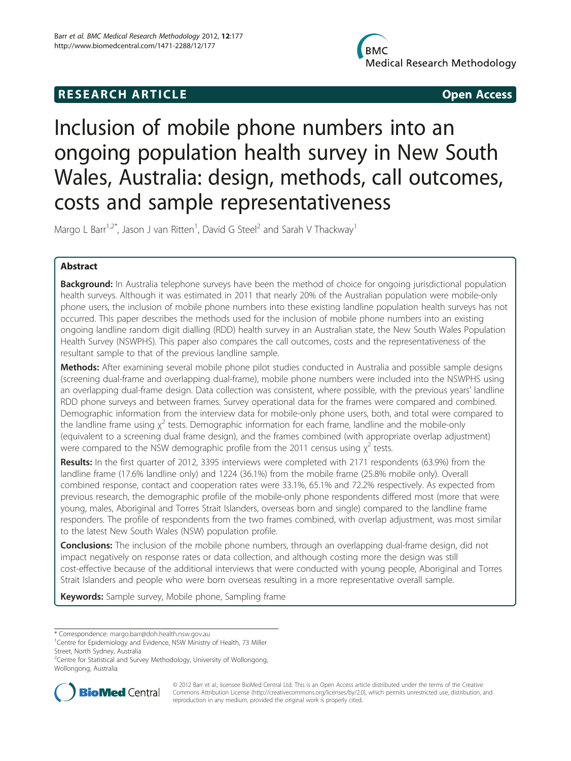## **RESEARCH ARTICLE CONSUMING A RESEARCH ARTICLE**

# Inclusion of mobile phone numbers into an ongoing population health survey in New South Wales, Australia: design, methods, call outcomes, costs and sample representativeness

Margo L Barr<sup>1,2\*</sup>, Jason J van Ritten<sup>1</sup>, David G Steel<sup>2</sup> and Sarah V Thackway<sup>1</sup>

## Abstract

**Background:** In Australia telephone surveys have been the method of choice for ongoing jurisdictional population health surveys. Although it was estimated in 2011 that nearly 20% of the Australian population were mobile-only phone users, the inclusion of mobile phone numbers into these existing landline population health surveys has not occurred. This paper describes the methods used for the inclusion of mobile phone numbers into an existing ongoing landline random digit dialling (RDD) health survey in an Australian state, the New South Wales Population Health Survey (NSWPHS). This paper also compares the call outcomes, costs and the representativeness of the resultant sample to that of the previous landline sample.

Methods: After examining several mobile phone pilot studies conducted in Australia and possible sample designs (screening dual-frame and overlapping dual-frame), mobile phone numbers were included into the NSWPHS using an overlapping dual-frame design. Data collection was consistent, where possible, with the previous years' landline RDD phone surveys and between frames. Survey operational data for the frames were compared and combined. Demographic information from the interview data for mobile-only phone users, both, and total were compared to the landline frame using  $\chi^2$  tests. Demographic information for each frame, landline and the mobile-only (equivalent to a screening dual frame design), and the frames combined (with appropriate overlap adjustment) were compared to the NSW demographic profile from the 2011 census using  $\chi^2$  tests.

Results: In the first quarter of 2012, 3395 interviews were completed with 2171 respondents (63.9%) from the landline frame (17.6% landline only) and 1224 (36.1%) from the mobile frame (25.8% mobile only). Overall combined response, contact and cooperation rates were 33.1%, 65.1% and 72.2% respectively. As expected from previous research, the demographic profile of the mobile-only phone respondents differed most (more that were young, males, Aboriginal and Torres Strait Islanders, overseas born and single) compared to the landline frame responders. The profile of respondents from the two frames combined, with overlap adjustment, was most similar to the latest New South Wales (NSW) population profile.

**Conclusions:** The inclusion of the mobile phone numbers, through an overlapping dual-frame design, did not impact negatively on response rates or data collection, and although costing more the design was still cost-effective because of the additional interviews that were conducted with young people, Aboriginal and Torres Strait Islanders and people who were born overseas resulting in a more representative overall sample.

Keywords: Sample survey, Mobile phone, Sampling frame

\* Correspondence: [margo.barr@doh.health.nsw.gov.au](mailto:margo.barr@doh.health.nsw.gov.au) <sup>1</sup>

<sup>&</sup>lt;sup>2</sup>Centre for Statistical and Survey Methodology, University of Wollongong, Wollongong, Australia



© 2012 Barr et al.; licensee BioMed Central Ltd. This is an Open Access article distributed under the terms of the Creative Commons Attribution License [\(http://creativecommons.org/licenses/by/2.0\)](http://creativecommons.org/licenses/by/2.0), which permits unrestricted use, distribution, and reproduction in any medium, provided the original work is properly cited.

<sup>&</sup>lt;sup>1</sup> Centre for Epidemiology and Evidence, NSW Ministry of Health, 73 Miller Street, North Sydney, Australia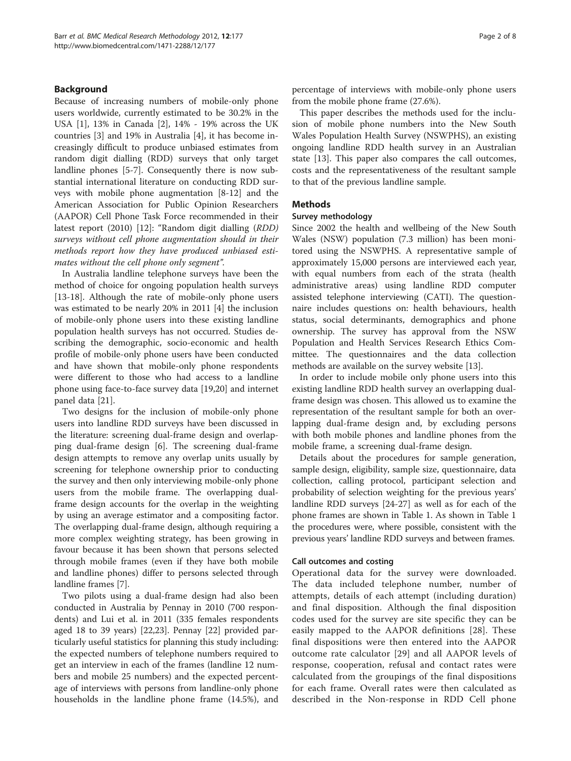## Background

Because of increasing numbers of mobile-only phone users worldwide, currently estimated to be 30.2% in the USA [[1\]](#page-7-0), 13% in Canada [[2](#page-7-0)], 14% - 19% across the UK countries [[3\]](#page-7-0) and 19% in Australia [[4\]](#page-7-0), it has become increasingly difficult to produce unbiased estimates from random digit dialling (RDD) surveys that only target landline phones [[5-7](#page-7-0)]. Consequently there is now substantial international literature on conducting RDD surveys with mobile phone augmentation [[8-12\]](#page-7-0) and the American Association for Public Opinion Researchers (AAPOR) Cell Phone Task Force recommended in their latest report (2010) [[12](#page-7-0)]: "Random digit dialling (RDD) surveys without cell phone augmentation should in their methods report how they have produced unbiased estimates without the cell phone only segment".

In Australia landline telephone surveys have been the method of choice for ongoing population health surveys [[13-18](#page-7-0)]. Although the rate of mobile-only phone users was estimated to be nearly 20% in 2011 [\[4](#page-7-0)] the inclusion of mobile-only phone users into these existing landline population health surveys has not occurred. Studies describing the demographic, socio-economic and health profile of mobile-only phone users have been conducted and have shown that mobile-only phone respondents were different to those who had access to a landline phone using face-to-face survey data [[19](#page-7-0),[20](#page-7-0)] and internet panel data [[21\]](#page-7-0).

Two designs for the inclusion of mobile-only phone users into landline RDD surveys have been discussed in the literature: screening dual-frame design and overlapping dual-frame design [[6\]](#page-7-0). The screening dual-frame design attempts to remove any overlap units usually by screening for telephone ownership prior to conducting the survey and then only interviewing mobile-only phone users from the mobile frame. The overlapping dualframe design accounts for the overlap in the weighting by using an average estimator and a compositing factor. The overlapping dual-frame design, although requiring a more complex weighting strategy, has been growing in favour because it has been shown that persons selected through mobile frames (even if they have both mobile and landline phones) differ to persons selected through landline frames [[7\]](#page-7-0).

Two pilots using a dual-frame design had also been conducted in Australia by Pennay in 2010 (700 respondents) and Lui et al. in 2011 (335 females respondents aged 18 to 39 years) [[22](#page-7-0),[23](#page-7-0)]. Pennay [\[22](#page-7-0)] provided particularly useful statistics for planning this study including: the expected numbers of telephone numbers required to get an interview in each of the frames (landline 12 numbers and mobile 25 numbers) and the expected percentage of interviews with persons from landline-only phone households in the landline phone frame (14.5%), and percentage of interviews with mobile-only phone users from the mobile phone frame (27.6%).

This paper describes the methods used for the inclusion of mobile phone numbers into the New South Wales Population Health Survey (NSWPHS), an existing ongoing landline RDD health survey in an Australian state [[13\]](#page-7-0). This paper also compares the call outcomes, costs and the representativeness of the resultant sample to that of the previous landline sample.

## Methods

#### Survey methodology

Since 2002 the health and wellbeing of the New South Wales (NSW) population (7.3 million) has been monitored using the NSWPHS. A representative sample of approximately 15,000 persons are interviewed each year, with equal numbers from each of the strata (health administrative areas) using landline RDD computer assisted telephone interviewing (CATI). The questionnaire includes questions on: health behaviours, health status, social determinants, demographics and phone ownership. The survey has approval from the NSW Population and Health Services Research Ethics Committee. The questionnaires and the data collection methods are available on the survey website [[13\]](#page-7-0).

In order to include mobile only phone users into this existing landline RDD health survey an overlapping dualframe design was chosen. This allowed us to examine the representation of the resultant sample for both an overlapping dual-frame design and, by excluding persons with both mobile phones and landline phones from the mobile frame, a screening dual-frame design.

Details about the procedures for sample generation, sample design, eligibility, sample size, questionnaire, data collection, calling protocol, participant selection and probability of selection weighting for the previous years' landline RDD surveys [\[24-27](#page-7-0)] as well as for each of the phone frames are shown in Table [1](#page-2-0). As shown in Table [1](#page-2-0) the procedures were, where possible, consistent with the previous years' landline RDD surveys and between frames.

## Call outcomes and costing

Operational data for the survey were downloaded. The data included telephone number, number of attempts, details of each attempt (including duration) and final disposition. Although the final disposition codes used for the survey are site specific they can be easily mapped to the AAPOR definitions [[28](#page-7-0)]. These final dispositions were then entered into the AAPOR outcome rate calculator [[29\]](#page-7-0) and all AAPOR levels of response, cooperation, refusal and contact rates were calculated from the groupings of the final dispositions for each frame. Overall rates were then calculated as described in the Non-response in RDD Cell phone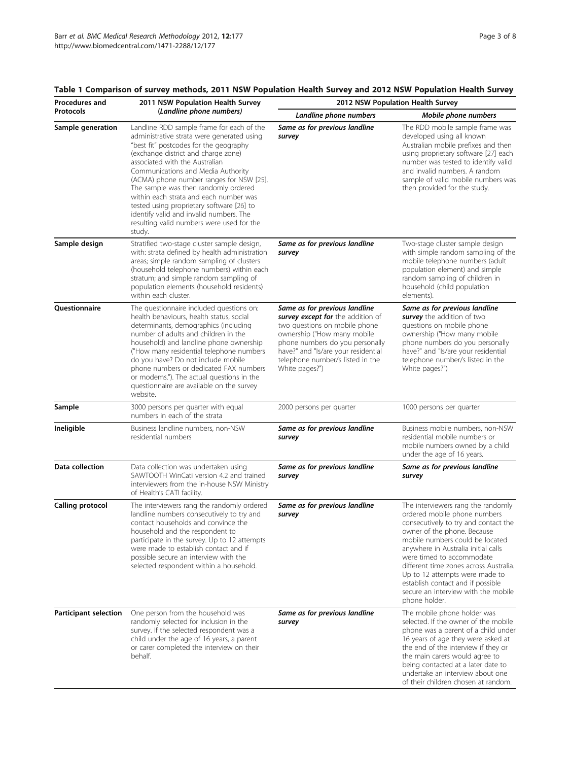| Procedures and               | 2011 NSW Population Health Survey                                                                                                                                                                                                                                                                                                                                                                                                                                                                                             | 2012 NSW Population Health Survey                                                                                                                                                                                                                                  |                                                                                                                                                                                                                                                                                                                                                                                                                           |  |  |  |
|------------------------------|-------------------------------------------------------------------------------------------------------------------------------------------------------------------------------------------------------------------------------------------------------------------------------------------------------------------------------------------------------------------------------------------------------------------------------------------------------------------------------------------------------------------------------|--------------------------------------------------------------------------------------------------------------------------------------------------------------------------------------------------------------------------------------------------------------------|---------------------------------------------------------------------------------------------------------------------------------------------------------------------------------------------------------------------------------------------------------------------------------------------------------------------------------------------------------------------------------------------------------------------------|--|--|--|
| <b>Protocols</b>             | (Landline phone numbers)                                                                                                                                                                                                                                                                                                                                                                                                                                                                                                      | Landline phone numbers                                                                                                                                                                                                                                             | Mobile phone numbers                                                                                                                                                                                                                                                                                                                                                                                                      |  |  |  |
| Sample generation            | Landline RDD sample frame for each of the<br>administrative strata were generated using<br>"best fit" postcodes for the geography<br>(exchange district and charge zone)<br>associated with the Australian<br>Communications and Media Authority<br>(ACMA) phone number ranges for NSW [25].<br>The sample was then randomly ordered<br>within each strata and each number was<br>tested using proprietary software [26] to<br>identify valid and invalid numbers. The<br>resulting valid numbers were used for the<br>study. | Same as for previous landline<br>survey                                                                                                                                                                                                                            | The RDD mobile sample frame was<br>developed using all known<br>Australian mobile prefixes and then<br>using proprietary software [27] each<br>number was tested to identify valid<br>and invalid numbers. A random<br>sample of valid mobile numbers was<br>then provided for the study.                                                                                                                                 |  |  |  |
| Sample design                | Stratified two-stage cluster sample design,<br>with: strata defined by health administration<br>areas; simple random sampling of clusters<br>(household telephone numbers) within each<br>stratum; and simple random sampling of<br>population elements (household residents)<br>within each cluster.                                                                                                                                                                                                                         | Same as for previous landline<br>survey                                                                                                                                                                                                                            | Two-stage cluster sample design<br>with simple random sampling of the<br>mobile telephone numbers (adult<br>population element) and simple<br>random sampling of children in<br>household (child population<br>elements).                                                                                                                                                                                                 |  |  |  |
| Questionnaire                | The questionnaire included questions on:<br>health behaviours, health status, social<br>determinants, demographics (including<br>number of adults and children in the<br>household) and landline phone ownership<br>("How many residential telephone numbers<br>do you have? Do not include mobile<br>phone numbers or dedicated FAX numbers<br>or modems."). The actual questions in the<br>questionnaire are available on the survey<br>website.                                                                            | Same as for previous landline<br>survey except for the addition of<br>two questions on mobile phone<br>ownership ("How many mobile<br>phone numbers do you personally<br>have?" and "Is/are your residential<br>telephone number/s listed in the<br>White pages?") | Same as for previous landline<br>survey the addition of two<br>questions on mobile phone<br>ownership ("How many mobile<br>phone numbers do you personally<br>have?" and "Is/are your residential<br>telephone number/s listed in the<br>White pages?")                                                                                                                                                                   |  |  |  |
| Sample                       | 3000 persons per quarter with equal<br>numbers in each of the strata                                                                                                                                                                                                                                                                                                                                                                                                                                                          | 2000 persons per quarter                                                                                                                                                                                                                                           | 1000 persons per quarter                                                                                                                                                                                                                                                                                                                                                                                                  |  |  |  |
| Ineligible                   | Business landline numbers, non-NSW<br>residential numbers                                                                                                                                                                                                                                                                                                                                                                                                                                                                     | Same as for previous landline<br>survey                                                                                                                                                                                                                            | Business mobile numbers, non-NSW<br>residential mobile numbers or<br>mobile numbers owned by a child<br>under the age of 16 years.                                                                                                                                                                                                                                                                                        |  |  |  |
| Data collection              | Data collection was undertaken using<br>SAWTOOTH WinCati version 4.2 and trained<br>interviewers from the in-house NSW Ministry<br>of Health's CATI facility.                                                                                                                                                                                                                                                                                                                                                                 | Same as for previous landline<br>survey                                                                                                                                                                                                                            | Same as for previous landline<br>survey                                                                                                                                                                                                                                                                                                                                                                                   |  |  |  |
| <b>Calling protocol</b>      | The interviewers rang the randomly ordered<br>landline numbers consecutively to try and<br>contact households and convince the<br>household and the respondent to<br>participate in the survey. Up to 12 attempts<br>were made to establish contact and if<br>possible secure an interview with the<br>selected respondent within a household.                                                                                                                                                                                | Same as for previous landline<br>survey                                                                                                                                                                                                                            | The interviewers rang the randomly<br>ordered mobile phone numbers<br>consecutively to try and contact the<br>owner of the phone. Because<br>mobile numbers could be located<br>anywhere in Australia initial calls<br>were timed to accommodate<br>different time zones across Australia.<br>Up to 12 attempts were made to<br>establish contact and if possible<br>secure an interview with the mobile<br>phone holder. |  |  |  |
| <b>Participant selection</b> | One person from the household was<br>randomly selected for inclusion in the<br>survey. If the selected respondent was a<br>child under the age of 16 years, a parent<br>or carer completed the interview on their<br>behalf.                                                                                                                                                                                                                                                                                                  | Same as for previous landline<br>survey                                                                                                                                                                                                                            | The mobile phone holder was<br>selected. If the owner of the mobile<br>phone was a parent of a child under<br>16 years of age they were asked at<br>the end of the interview if they or<br>the main carers would agree to<br>being contacted at a later date to<br>undertake an interview about one<br>of their children chosen at random.                                                                                |  |  |  |

## <span id="page-2-0"></span>Table 1 Comparison of survey methods, 2011 NSW Population Health Survey and 2012 NSW Population Health Survey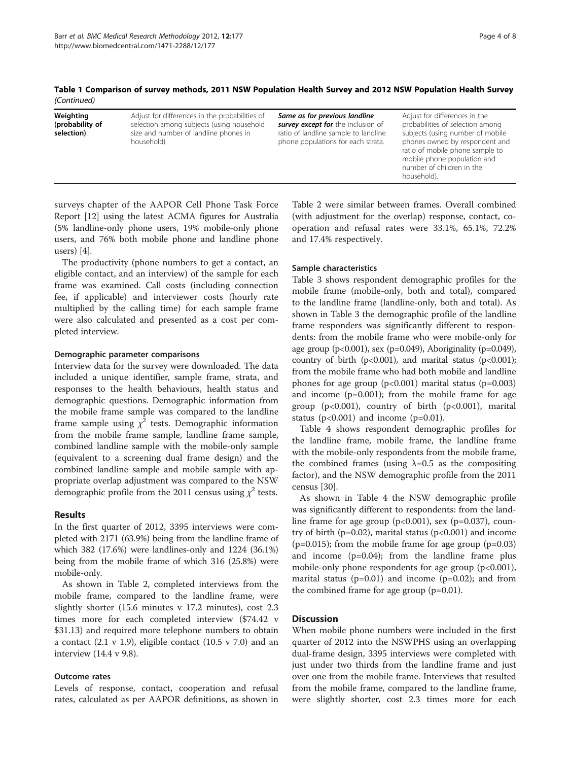Table 1 Comparison of survey methods, 2011 NSW Population Health Survey and 2012 NSW Population Health Survey (Continued)

| Weighting<br>(probability of<br>selection) | Adjust for differences in the probabilities of<br>selection among subjects (using household<br>size and number of landline phones in<br>household). | Same as for previous landline<br>survey except for the inclusion of<br>ratio of landline sample to landline<br>phone populations for each strata. | Adjust for differences in the<br>probabilities of selection among<br>subjects (using number of mobile<br>phones owned by respondent and<br>ratio of mobile phone sample to<br>mobile phone population and<br>number of children in the |
|--------------------------------------------|-----------------------------------------------------------------------------------------------------------------------------------------------------|---------------------------------------------------------------------------------------------------------------------------------------------------|----------------------------------------------------------------------------------------------------------------------------------------------------------------------------------------------------------------------------------------|
|                                            |                                                                                                                                                     |                                                                                                                                                   | household).                                                                                                                                                                                                                            |

surveys chapter of the AAPOR Cell Phone Task Force Report [[12\]](#page-7-0) using the latest ACMA figures for Australia (5% landline-only phone users, 19% mobile-only phone users, and 76% both mobile phone and landline phone users) [\[4\]](#page-7-0).

The productivity (phone numbers to get a contact, an eligible contact, and an interview) of the sample for each frame was examined. Call costs (including connection fee, if applicable) and interviewer costs (hourly rate multiplied by the calling time) for each sample frame were also calculated and presented as a cost per completed interview.

#### Demographic parameter comparisons

Interview data for the survey were downloaded. The data included a unique identifier, sample frame, strata, and responses to the health behaviours, health status and demographic questions. Demographic information from the mobile frame sample was compared to the landline frame sample using  $\chi^2$  tests. Demographic information from the mobile frame sample, landline frame sample, combined landline sample with the mobile-only sample (equivalent to a screening dual frame design) and the combined landline sample and mobile sample with appropriate overlap adjustment was compared to the NSW demographic profile from the 2011 census using  $\chi^2$  tests.

## Results

In the first quarter of 2012, 3395 interviews were completed with 2171 (63.9%) being from the landline frame of which 382 (17.6%) were landlines-only and 1224 (36.1%) being from the mobile frame of which 316 (25.8%) were mobile-only.

As shown in Table [2](#page-4-0), completed interviews from the mobile frame, compared to the landline frame, were slightly shorter (15.6 minutes v 17.2 minutes), cost 2.3 times more for each completed interview (\$74.42 v \$31.13) and required more telephone numbers to obtain a contact  $(2.1 \text{ v } 1.9)$ , eligible contact  $(10.5 \text{ v } 7.0)$  and an interview (14.4 v 9.8).

## Outcome rates

Levels of response, contact, cooperation and refusal rates, calculated as per AAPOR definitions, as shown in Table [2](#page-4-0) were similar between frames. Overall combined (with adjustment for the overlap) response, contact, cooperation and refusal rates were 33.1%, 65.1%, 72.2% and 17.4% respectively.

## Sample characteristics

Table [3](#page-5-0) shows respondent demographic profiles for the mobile frame (mobile-only, both and total), compared to the landline frame (landline-only, both and total). As shown in Table [3](#page-5-0) the demographic profile of the landline frame responders was significantly different to respondents: from the mobile frame who were mobile-only for age group ( $p < 0.001$ ), sex ( $p = 0.049$ ), Aboriginality ( $p = 0.049$ ), country of birth ( $p<0.001$ ), and marital status ( $p<0.001$ ); from the mobile frame who had both mobile and landline phones for age group  $(p<0.001)$  marital status  $(p=0.003)$ and income (p=0.001); from the mobile frame for age group ( $p<0.001$ ), country of birth ( $p<0.001$ ), marital status ( $p<0.001$ ) and income ( $p=0.01$ ).

Table [4](#page-6-0) shows respondent demographic profiles for the landline frame, mobile frame, the landline frame with the mobile-only respondents from the mobile frame, the combined frames (using  $\lambda=0.5$  as the compositing factor), and the NSW demographic profile from the 2011 census [[30](#page-7-0)].

As shown in Table [4](#page-6-0) the NSW demographic profile was significantly different to respondents: from the landline frame for age group  $(p<0.001)$ , sex  $(p=0.037)$ , country of birth ( $p=0.02$ ), marital status ( $p<0.001$ ) and income ( $p=0.015$ ); from the mobile frame for age group ( $p=0.03$ ) and income (p=0.04); from the landline frame plus mobile-only phone respondents for age group  $(p<0.001)$ , marital status ( $p=0.01$ ) and income ( $p=0.02$ ); and from the combined frame for age group (p=0.01).

## **Discussion**

When mobile phone numbers were included in the first quarter of 2012 into the NSWPHS using an overlapping dual-frame design, 3395 interviews were completed with just under two thirds from the landline frame and just over one from the mobile frame. Interviews that resulted from the mobile frame, compared to the landline frame, were slightly shorter, cost 2.3 times more for each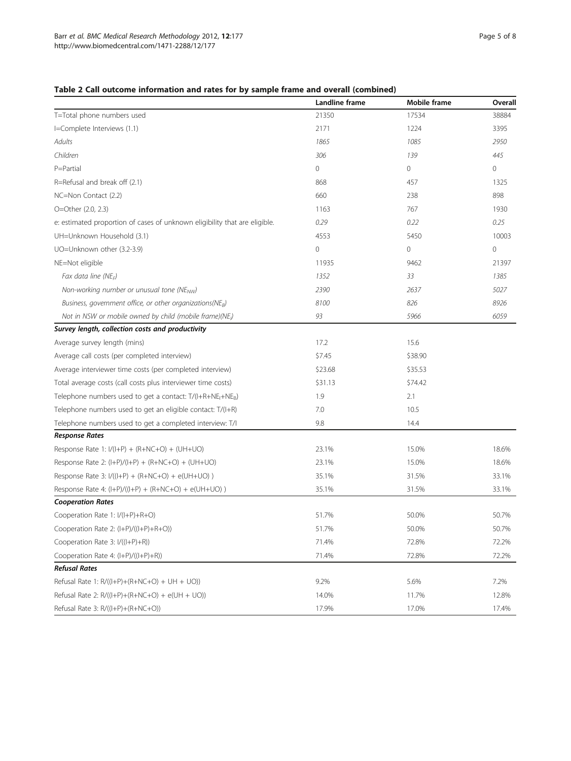## <span id="page-4-0"></span>Table 2 Call outcome information and rates for by sample frame and overall (combined)

|                                                                            | Landline frame | Mobile frame | Overall |
|----------------------------------------------------------------------------|----------------|--------------|---------|
| T=Total phone numbers used                                                 | 21350          | 17534        | 38884   |
| I=Complete Interviews (1.1)                                                | 2171           | 1224         | 3395    |
| Adults                                                                     | 1865           | 1085         | 2950    |
| Children                                                                   | 306            | 139          | 445     |
| P=Partial                                                                  | 0              | $\circ$      | 0       |
| R=Refusal and break off (2.1)                                              | 868            | 457          | 1325    |
| NC=Non Contact (2.2)                                                       | 660            | 238          | 898     |
| O=Other (2.0, 2.3)                                                         | 1163           | 767          | 1930    |
| e: estimated proportion of cases of unknown eligibility that are eligible. | 0.29           | 0.22         | 0.25    |
| UH=Unknown Household (3.1)                                                 | 4553           | 5450         | 10003   |
| UO=Unknown other (3.2-3.9)                                                 | $\mathbf 0$    | 0            | 0       |
| NE=Not eligible                                                            | 11935          | 9462         | 21397   |
| Fax data line (NE <sub>F</sub> )                                           | 1352           | 33           | 1385    |
| Non-working number or unusual tone (NE <sub>NW</sub> )                     | 2390           | 2637         | 5027    |
| Business, government office, or other organizations(NEB)                   | 8100           | 826          | 8926    |
| Not in NSW or mobile owned by child (mobile frame)(NE <sub>I</sub> )       | 93             | 5966         | 6059    |
| Survey length, collection costs and productivity                           |                |              |         |
| Average survey length (mins)                                               | 17.2           | 15.6         |         |
| Average call costs (per completed interview)                               | \$7.45         | \$38.90      |         |
| Average interviewer time costs (per completed interview)                   | \$23.68        | \$35.53      |         |
| Total average costs (call costs plus interviewer time costs)               | \$31.13        | \$74.42      |         |
| Telephone numbers used to get a contact: $T/(I+R+NE_I+NE_B)$               | 1.9            | 2.1          |         |
| Telephone numbers used to get an eligible contact: T/(I+R)                 | 7.0            | 10.5         |         |
| Telephone numbers used to get a completed interview: T/I                   | 9.8            | 14.4         |         |
| <b>Response Rates</b>                                                      |                |              |         |
| Response Rate 1: $I/(I+P) + (R+NC+O) + (UH+UO)$                            | 23.1%          | 15.0%        | 18.6%   |
| Response Rate 2: $(l+P)/(l+P) + (R+NC+O) + (UH+UO)$                        | 23.1%          | 15.0%        | 18.6%   |
| Response Rate 3: $I/((I+P) + (R+NC+O) + e(UH+UO))$                         | 35.1%          | 31.5%        | 33.1%   |
| Response Rate 4: (I+P)/((I+P) + (R+NC+O) + e(UH+UO))                       | 35.1%          | 31.5%        | 33.1%   |
| <b>Cooperation Rates</b>                                                   |                |              |         |
| Cooperation Rate 1: I/(I+P)+R+O)                                           | 51.7%          | 50.0%        | 50.7%   |
| Cooperation Rate 2: (I+P)/((I+P)+R+O))                                     | 51.7%          | 50.0%        | 50.7%   |
| Cooperation Rate 3: I/((I+P)+R))                                           | 71.4%          | 72.8%        | 72.2%   |
| Cooperation Rate 4: (I+P)/((I+P)+R))                                       | 71.4%          | 72.8%        | 72.2%   |
| <b>Refusal Rates</b>                                                       |                |              |         |
| Refusal Rate 1: $R/((I+P)+(R+NC+O)) + UH + UO)$                            | 9.2%           | 5.6%         | 7.2%    |
| Refusal Rate 2: $R/((I+P)+(R+NC+O)) + e(UH + UO))$                         | 14.0%          | 11.7%        | 12.8%   |
| Refusal Rate 3: R/((I+P)+(R+NC+O))                                         | 17.9%          | 17.0%        | 17.4%   |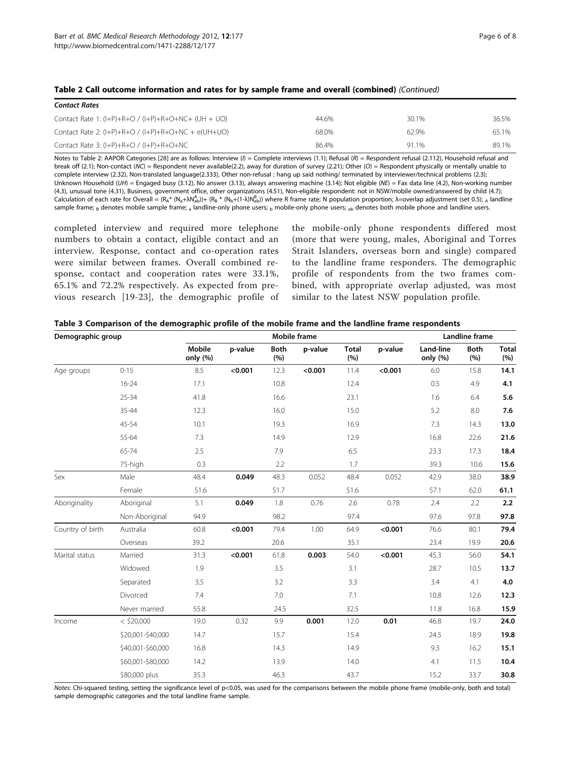<span id="page-5-0"></span>

| Table 2 Call outcome information and rates for by sample frame and overall (combined) (Continued) |  |  |
|---------------------------------------------------------------------------------------------------|--|--|
|---------------------------------------------------------------------------------------------------|--|--|

| <b>Contact Rates</b>                                    |       |       |       |
|---------------------------------------------------------|-------|-------|-------|
| Contact Rate 1: $(I+P)+R+O$ / $(I+P)+R+O+NC+$ (UH + UO) | 44.6% | 30.1% | 36.5% |
| Contact Rate 2: $(l+P)+R+O$ / $(l+P)+R+O+NC + e(UH+UO)$ | 68.0% | 62.9% | 65.1% |
| Contact Rate 3: $(l+P)+R+O$ / $(l+P)+R+O+NC$            | 86.4% | 91 1% | 89.1% |

Notes to Table 2: AAPOR Categories [[28\]](#page-7-0) are as follows: Interview ( $\eta$  = Complete interviews (1.1); Refusal (R) = Respondent refusal (2.112), Household refusal and break off (2.1); Non-contact (NC) = Respondent never available(2.2), away for duration of survey (2.21); Other (O) = Respondent physically or mentally unable to complete interview (2.32), Non-translated language(2.333), Other non-refusal : hang up said nothing/ terminated by interviewer/technical problems (2.3); Unknown Household (UH) = Engaged busy (3.12), No answer (3.13), always answering machine (3.14); Not eligible (NE) = Fax data line (4.2), Non-working number (4.3), unusual tone (4.31), Business, government office, other organizations (4.51), Non-eligible respondent: not in NSW/mobile owned/answered by child (4.7); Calculation of each rate for Overall = (R<sub>A</sub>\* (N<sub>a</sub>+λNab))+ (R<sub>B</sub> \* (N<sub>b</sub>+(1-λ)Nab)) where R frame rate; N population proportion; λ=overlap adjustment (set 0.5); <sub>A</sub> landline sample frame; B denotes mobile sample frame; a landline-only phone users; b mobile-only phone users; ab denotes both mobile phone and landline users.

completed interview and required more telephone numbers to obtain a contact, eligible contact and an interview. Response, contact and co-operation rates were similar between frames. Overall combined response, contact and cooperation rates were 33.1%, 65.1% and 72.2% respectively. As expected from previous research [[19-23\]](#page-7-0), the demographic profile of

the mobile-only phone respondents differed most (more that were young, males, Aboriginal and Torres Strait Islanders, overseas born and single) compared to the landline frame responders. The demographic profile of respondents from the two frames combined, with appropriate overlap adjusted, was most similar to the latest NSW population profile.

| Demographic group |                   |                           | Landline frame |                     |         |                     |         |                       |                    |                     |
|-------------------|-------------------|---------------------------|----------------|---------------------|---------|---------------------|---------|-----------------------|--------------------|---------------------|
|                   |                   | <b>Mobile</b><br>only (%) | p-value        | <b>Both</b><br>(% ) | p-value | <b>Total</b><br>(%) | p-value | Land-line<br>only (%) | <b>Both</b><br>(%) | <b>Total</b><br>(%) |
| Age groups        | $0 - 15$          | 8.5                       | < 0.001        | 12.3                | < 0.001 | 11.4                | < 0.001 | 6.0                   | 15.8               | 14.1                |
|                   | $16 - 24$         | 17.1                      |                | 10.8                |         | 12.4                |         | 0.5                   | 4.9                | 4.1                 |
|                   | $25 - 34$         | 41.8                      |                | 16.6                |         | 23.1                |         | 1.6                   | 6.4                | 5.6                 |
|                   | $35 - 44$         | 12.3                      |                | 16.0                |         | 15.0                |         | 5.2                   | $8.0\,$            | 7.6                 |
|                   | 45-54             | 10.1                      |                | 19.3                |         | 16.9                |         | 7.3                   | 14.3               | 13.0                |
|                   | 55-64             | 7.3                       |                | 14.9                |         | 12.9                |         | 16.8                  | 22.6               | 21.6                |
|                   | 65-74             | 2.5                       |                | 7.9                 |         | 6.5                 |         | 23.3                  | 17.3               | 18.4                |
|                   | 75-high           | 0.3                       |                | 2.2                 |         | 1.7                 |         | 39.3                  | 10.6               | 15.6                |
| Sex               | Male              | 48.4                      | 0.049          | 48.3                | 0.052   | 48.4                | 0.052   | 42.9                  | 38.0               | 38.9                |
|                   | Female            | 51.6                      |                | 51.7                |         | 51.6                |         | 57.1                  | 62.0               | 61.1                |
| Aboriginality     | Aboriginal        | 5.1                       | 0.049          | 1.8                 | 0.76    | 2.6                 | 0.78    | 2.4                   | 2.2                | 2.2                 |
|                   | Non-Aboriginal    | 94.9                      |                | 98.2                |         | 97.4                |         | 97.6                  | 97.8               | 97.8                |
| Country of birth  | Australia         | 60.8                      | < 0.001        | 79.4                | 1.00    | 64.9                | < 0.001 | 76.6                  | 80.1               | 79.4                |
|                   | Overseas          | 39.2                      |                | 20.6                |         | 35.1                |         | 23.4                  | 19.9               | 20.6                |
| Marital status    | Married           | 31.3                      | < 0.001        | 61.8                | 0.003   | 54.0                | < 0.001 | 45.3                  | 56.0               | 54.1                |
|                   | Widowed           | 1.9                       |                | 3.5                 |         | 3.1                 |         | 28.7                  | 10.5               | 13.7                |
|                   | Separated         | 3.5                       |                | 3.2                 |         | 3.3                 |         | 3.4                   | 4.1                | 4.0                 |
|                   | Divorced          | 7.4                       |                | 7.0                 |         | 7.1                 |         | 10.8                  | 12.6               | 12.3                |
|                   | Never married     | 55.8                      |                | 24.5                |         | 32.5                |         | 11.8                  | 16.8               | 15.9                |
| Income            | $<$ \$20,000      | 19.0                      | 0.32           | 9.9                 | 0.001   | 12.0                | 0.01    | 46.8                  | 19.7               | 24.0                |
|                   | \$20,001-\$40,000 | 14.7                      |                | 15.7                |         | 15.4                |         | 24.5                  | 18.9               | 19.8                |
|                   | \$40,001-\$60,000 | 16.8                      |                | 14.3                |         | 14.9                |         | 9.3                   | 16.2               | 15.1                |
|                   | \$60,001-\$80,000 | 14.2                      |                | 13.9                |         | 14.0                |         | 4.1                   | 11.5               | 10.4                |
|                   | \$80,000 plus     | 35.3                      |                | 46.3                |         | 43.7                |         | 15.2                  | 33.7               | 30.8                |

Notes: Chi-squared testing, setting the significance level of p<0.05, was used for the comparisons between the mobile phone frame (mobile-only, both and total) sample demographic categories and the total landline frame sample.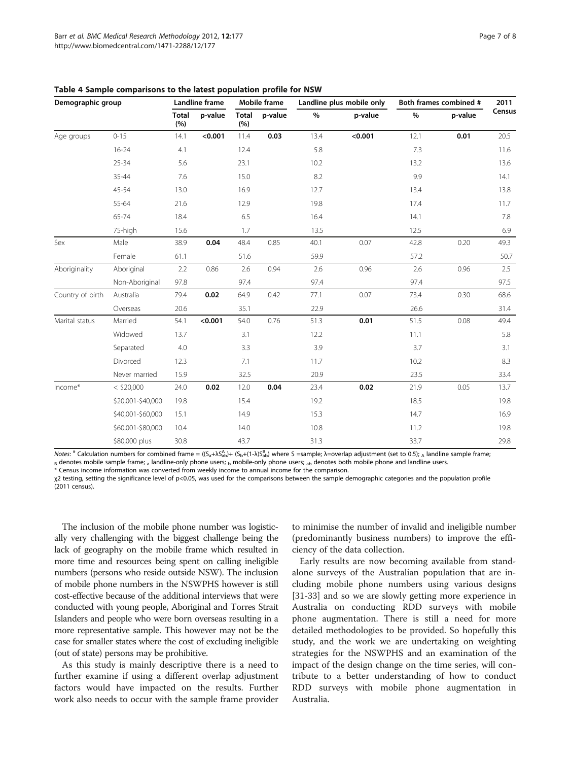| Demographic group |                   | Landline frame      |         | <b>Mobile frame</b> |         | Landline plus mobile only |         | Both frames combined # |         | 2011   |
|-------------------|-------------------|---------------------|---------|---------------------|---------|---------------------------|---------|------------------------|---------|--------|
|                   |                   | <b>Total</b><br>(%) | p-value | <b>Total</b><br>(%) | p-value | $\%$                      | p-value | $\%$                   | p-value | Census |
| Age groups        | $0 - 15$          | 14.1                | < 0.001 | 11.4                | 0.03    | 13.4                      | < 0.001 | 12.1                   | 0.01    | 20.5   |
|                   | $16 - 24$         | 4.1                 |         | 12.4                |         | 5.8                       |         | 7.3                    |         | 11.6   |
|                   | $25 - 34$         | 5.6                 |         | 23.1                |         | 10.2                      |         | 13.2                   |         | 13.6   |
|                   | 35-44             | 7.6                 |         | 15.0                |         | 8.2                       |         | 9.9                    |         | 14.1   |
|                   | 45-54             | 13.0                |         | 16.9                |         | 12.7                      |         | 13.4                   |         | 13.8   |
|                   | 55-64             | 21.6                |         | 12.9                |         | 19.8                      |         | 17.4                   |         | 11.7   |
|                   | 65-74             | 18.4                |         | 6.5                 |         | 16.4                      |         | 14.1                   |         | 7.8    |
|                   | 75-high           | 15.6                |         | 1.7                 |         | 13.5                      |         | 12.5                   |         | 6.9    |
| Sex               | Male              | 38.9                | 0.04    | 48.4                | 0.85    | 40.1                      | 0.07    | 42.8                   | 0.20    | 49.3   |
|                   | Female            | 61.1                |         | 51.6                |         | 59.9                      |         | 57.2                   |         | 50.7   |
| Aboriginality     | Aboriginal        | 2.2                 | 0.86    | 2.6                 | 0.94    | 2.6                       | 0.96    | 2.6                    | 0.96    | 2.5    |
|                   | Non-Aboriginal    | 97.8                |         | 97.4                |         | 97.4                      |         | 97.4                   |         | 97.5   |
| Country of birth  | Australia         | 79.4                | 0.02    | 64.9                | 0.42    | 77.1                      | 0.07    | 73.4                   | 0.30    | 68.6   |
|                   | Overseas          | 20.6                |         | 35.1                |         | 22.9                      |         | 26.6                   |         | 31.4   |
| Marital status    | Married           | 54.1                | < 0.001 | 54.0                | 0.76    | 51.3                      | 0.01    | 51.5                   | 0.08    | 49.4   |
|                   | Widowed           | 13.7                |         | 3.1                 |         | 12.2                      |         | 11.1                   |         | 5.8    |
|                   | Separated         | 4.0                 |         | 3.3                 |         | 3.9                       |         | 3.7                    |         | 3.1    |
|                   | Divorced          | 12.3                |         | 7.1                 |         | 11.7                      |         | 10.2                   |         | 8.3    |
|                   | Never married     | 15.9                |         | 32.5                |         | 20.9                      |         | 23.5                   |         | 33.4   |
| Income*           | $<$ \$20,000      | 24.0                | 0.02    | 12.0                | 0.04    | 23.4                      | 0.02    | 21.9                   | 0.05    | 13.7   |
|                   | \$20,001-\$40,000 | 19.8                |         | 15.4                |         | 19.2                      |         | 18.5                   |         | 19.8   |
|                   | \$40,001-\$60,000 | 15.1                |         | 14.9                |         | 15.3                      |         | 14.7                   |         | 16.9   |
|                   | \$60,001-\$80,000 | 10.4                |         | 14.0                |         | 10.8                      |         | 11.2                   |         | 19.8   |
|                   | \$80,000 plus     | 30.8                |         | 43.7                |         | 31.3                      |         | 33.7                   |         | 29.8   |

<span id="page-6-0"></span>Table 4 Sample comparisons to the latest population profile for NSW

Notes:  $*$  Calculation numbers for combined frame = ((S<sub>a</sub>+λS<sub>ab</sub>)+ (S<sub>b</sub>+(1-λ)S<sub>ab</sub>) where S =sample; λ=overlap adjustment (set to 0.5); <sub>A</sub> landline sample frame; <sub>B</sub> denotes mobile sample frame; <sub>a</sub> landline-only phone users; <sub>b</sub> mobile-only phone users; <sub>ab</sub> denotes both mobile phone and landline users.<br>\* Census income information was converted from weekly income to annual income

χ2 testing, setting the significance level of p<0.05, was used for the comparisons between the sample demographic categories and the population profile (2011 census).

The inclusion of the mobile phone number was logistically very challenging with the biggest challenge being the lack of geography on the mobile frame which resulted in more time and resources being spent on calling ineligible numbers (persons who reside outside NSW). The inclusion of mobile phone numbers in the NSWPHS however is still cost-effective because of the additional interviews that were conducted with young people, Aboriginal and Torres Strait Islanders and people who were born overseas resulting in a more representative sample. This however may not be the case for smaller states where the cost of excluding ineligible (out of state) persons may be prohibitive.

As this study is mainly descriptive there is a need to further examine if using a different overlap adjustment factors would have impacted on the results. Further work also needs to occur with the sample frame provider

to minimise the number of invalid and ineligible number (predominantly business numbers) to improve the efficiency of the data collection.

Early results are now becoming available from standalone surveys of the Australian population that are including mobile phone numbers using various designs [[31-33](#page-7-0)] and so we are slowly getting more experience in Australia on conducting RDD surveys with mobile phone augmentation. There is still a need for more detailed methodologies to be provided. So hopefully this study, and the work we are undertaking on weighting strategies for the NSWPHS and an examination of the impact of the design change on the time series, will contribute to a better understanding of how to conduct RDD surveys with mobile phone augmentation in Australia.